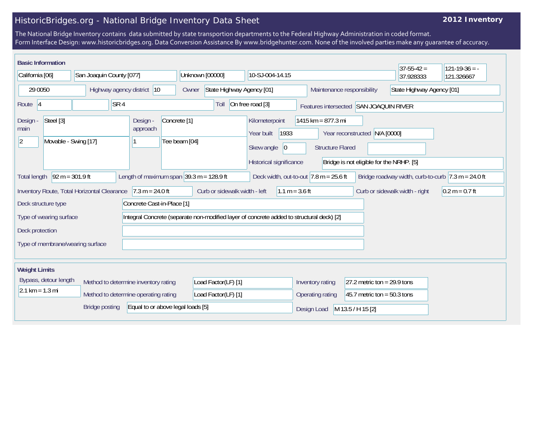## HistoricBridges.org - National Bridge Inventory Data Sheet

## **2012 Inventory**

The National Bridge Inventory contains data submitted by state transportion departments to the Federal Highway Administration in coded format. Form Interface Design: www.historicbridges.org. Data Conversion Assistance By www.bridgehunter.com. None of the involved parties make any guarantee of accuracy.

|                                                                                                                                                                                                                                                  | <b>Basic Information</b>                                  |                                             |                                                            |                                                                                              |                                                                                                                               |                  |                                                         | $37 - 55 - 42 =$               | $121 - 19 - 36 = -$ |
|--------------------------------------------------------------------------------------------------------------------------------------------------------------------------------------------------------------------------------------------------|-----------------------------------------------------------|---------------------------------------------|------------------------------------------------------------|----------------------------------------------------------------------------------------------|-------------------------------------------------------------------------------------------------------------------------------|------------------|---------------------------------------------------------|--------------------------------|---------------------|
| California [06]                                                                                                                                                                                                                                  |                                                           | San Joaquin County [077]                    |                                                            | Unknown [00000]                                                                              | 10-SJ-004-14.15                                                                                                               |                  |                                                         | 37.928333                      | 121.326667          |
| 29 0050                                                                                                                                                                                                                                          |                                                           | Highway agency district 10                  |                                                            | Owner                                                                                        | State Highway Agency [01]                                                                                                     |                  | State Highway Agency [01]<br>Maintenance responsibility |                                |                     |
| S <sub>R</sub> 4<br>Route <sub>14</sub>                                                                                                                                                                                                          |                                                           | Toll                                        | On free road [3]<br>Features intersected SAN JOAQUIN RIVER |                                                                                              |                                                                                                                               |                  |                                                         |                                |                     |
| Design -<br>main<br><u> 2</u>                                                                                                                                                                                                                    | Steel [3]<br>Design -<br>approach<br>Movable - Swing [17] |                                             | Concrete <sup>[1]</sup><br>Tee beam [04]                   | Kilometerpoint<br>Year built<br>1933<br>Skew angle<br>$ 0\rangle$<br>Historical significance | 1415 km = 877.3 mi<br>N/A [0000]<br>Year reconstructed<br><b>Structure Flared</b><br>Bridge is not eligible for the NRHP. [5] |                  |                                                         |                                |                     |
| $92 m = 301.9 ft$<br>Length of maximum span $ 39.3 \text{ m} = 128.9 \text{ ft} $<br>Bridge roadway width, curb-to-curb $ 7.3 \text{ m} = 24.0 \text{ ft} $<br>Deck width, out-to-out $ 7.8 \text{ m} = 25.6 \text{ ft} $<br><b>Total length</b> |                                                           |                                             |                                                            |                                                                                              |                                                                                                                               |                  |                                                         |                                |                     |
|                                                                                                                                                                                                                                                  |                                                           | Inventory Route, Total Horizontal Clearance | $17.3 m = 24.0 ft$                                         | Curb or sidewalk width - left                                                                | $1.1 m = 3.6 ft$                                                                                                              |                  |                                                         | Curb or sidewalk width - right | $0.2 m = 0.7 ft$    |
|                                                                                                                                                                                                                                                  | Deck structure type                                       |                                             | Concrete Cast-in-Place [1]                                 |                                                                                              |                                                                                                                               |                  |                                                         |                                |                     |
|                                                                                                                                                                                                                                                  | Type of wearing surface                                   |                                             |                                                            |                                                                                              | Integral Concrete (separate non-modified layer of concrete added to structural deck) [2]                                      |                  |                                                         |                                |                     |
| Deck protection                                                                                                                                                                                                                                  |                                                           |                                             |                                                            |                                                                                              |                                                                                                                               |                  |                                                         |                                |                     |
|                                                                                                                                                                                                                                                  |                                                           | Type of membrane/wearing surface            |                                                            |                                                                                              |                                                                                                                               |                  |                                                         |                                |                     |
| <b>Weight Limits</b>                                                                                                                                                                                                                             |                                                           |                                             |                                                            |                                                                                              |                                                                                                                               |                  |                                                         |                                |                     |
|                                                                                                                                                                                                                                                  | Bypass, detour length                                     | Method to determine inventory rating        |                                                            | Load Factor(LF) [1]                                                                          |                                                                                                                               | Inventory rating | 27.2 metric ton = $29.9$ tons                           |                                |                     |
| $2.1 \text{ km} = 1.3 \text{ mi}$                                                                                                                                                                                                                |                                                           |                                             | Method to determine operating rating                       | Load Factor(LF) [1]                                                                          |                                                                                                                               | Operating rating | 45.7 metric ton = $50.3$ tons                           |                                |                     |
|                                                                                                                                                                                                                                                  |                                                           | <b>Bridge posting</b>                       | Equal to or above legal loads [5]                          |                                                                                              |                                                                                                                               | Design Load      | M 13.5 / H 15 [2]                                       |                                |                     |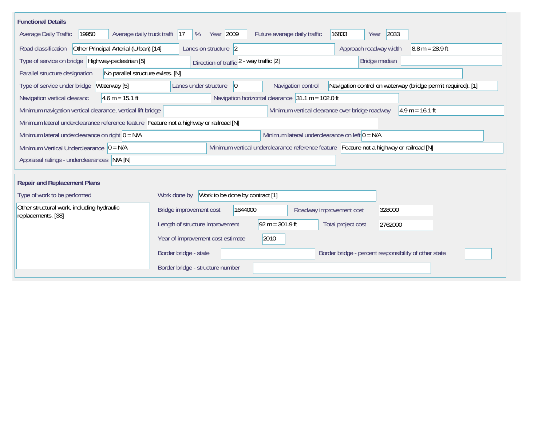| <b>Functional Details</b>                                                                                                             |                                                                                                                            |  |  |  |  |  |  |  |  |
|---------------------------------------------------------------------------------------------------------------------------------------|----------------------------------------------------------------------------------------------------------------------------|--|--|--|--|--|--|--|--|
| 19950<br>Average daily truck traffi<br>Average Daily Traffic                                                                          | Year 2009<br>2033<br>Future average daily traffic<br>16833<br> 17<br>%<br>Year                                             |  |  |  |  |  |  |  |  |
| Road classification<br>Other Principal Arterial (Urban) [14]                                                                          | Approach roadway width<br>Lanes on structure 2<br>$8.8 m = 28.9 ft$                                                        |  |  |  |  |  |  |  |  |
| Type of service on bridge Highway-pedestrian [5]                                                                                      | Bridge median<br>Direction of traffic 2 - way traffic [2]                                                                  |  |  |  |  |  |  |  |  |
| Parallel structure designation<br>No parallel structure exists. [N]                                                                   |                                                                                                                            |  |  |  |  |  |  |  |  |
| Waterway [5]<br>Type of service under bridge                                                                                          | Navigation control on waterway (bridge permit required). [1]<br>Navigation control<br>Lanes under structure<br>$ 0\rangle$ |  |  |  |  |  |  |  |  |
| Navigation horizontal clearance $31.1 m = 102.0 ft$<br>$4.6 m = 15.1 ft$<br>Navigation vertical clearanc                              |                                                                                                                            |  |  |  |  |  |  |  |  |
| Minimum vertical clearance over bridge roadway<br>Minimum navigation vertical clearance, vertical lift bridge<br>$4.9 m = 16.1 ft$    |                                                                                                                            |  |  |  |  |  |  |  |  |
| Minimum lateral underclearance reference feature Feature not a highway or railroad [N]                                                |                                                                                                                            |  |  |  |  |  |  |  |  |
| Minimum lateral underclearance on left $0 = N/A$<br>Minimum lateral underclearance on right $ 0 = N/A$                                |                                                                                                                            |  |  |  |  |  |  |  |  |
| Minimum vertical underclearance reference feature Feature not a highway or railroad [N]<br>Minimum Vertical Underclearance $ 0 = N/A$ |                                                                                                                            |  |  |  |  |  |  |  |  |
| Appraisal ratings - underclearances N/A [N]                                                                                           |                                                                                                                            |  |  |  |  |  |  |  |  |
|                                                                                                                                       |                                                                                                                            |  |  |  |  |  |  |  |  |
| <b>Repair and Replacement Plans</b>                                                                                                   |                                                                                                                            |  |  |  |  |  |  |  |  |
| Type of work to be performed                                                                                                          | Work to be done by contract [1]<br>Work done by                                                                            |  |  |  |  |  |  |  |  |
| Other structural work, including hydraulic<br>replacements. [38]                                                                      | Bridge improvement cost<br>1644000<br>328000<br>Roadway improvement cost                                                   |  |  |  |  |  |  |  |  |
|                                                                                                                                       | $92 m = 301.9 ft$<br>Length of structure improvement<br>Total project cost<br>2762000                                      |  |  |  |  |  |  |  |  |
|                                                                                                                                       | 2010<br>Year of improvement cost estimate                                                                                  |  |  |  |  |  |  |  |  |
|                                                                                                                                       | Border bridge - state<br>Border bridge - percent responsibility of other state                                             |  |  |  |  |  |  |  |  |
|                                                                                                                                       | Border bridge - structure number                                                                                           |  |  |  |  |  |  |  |  |